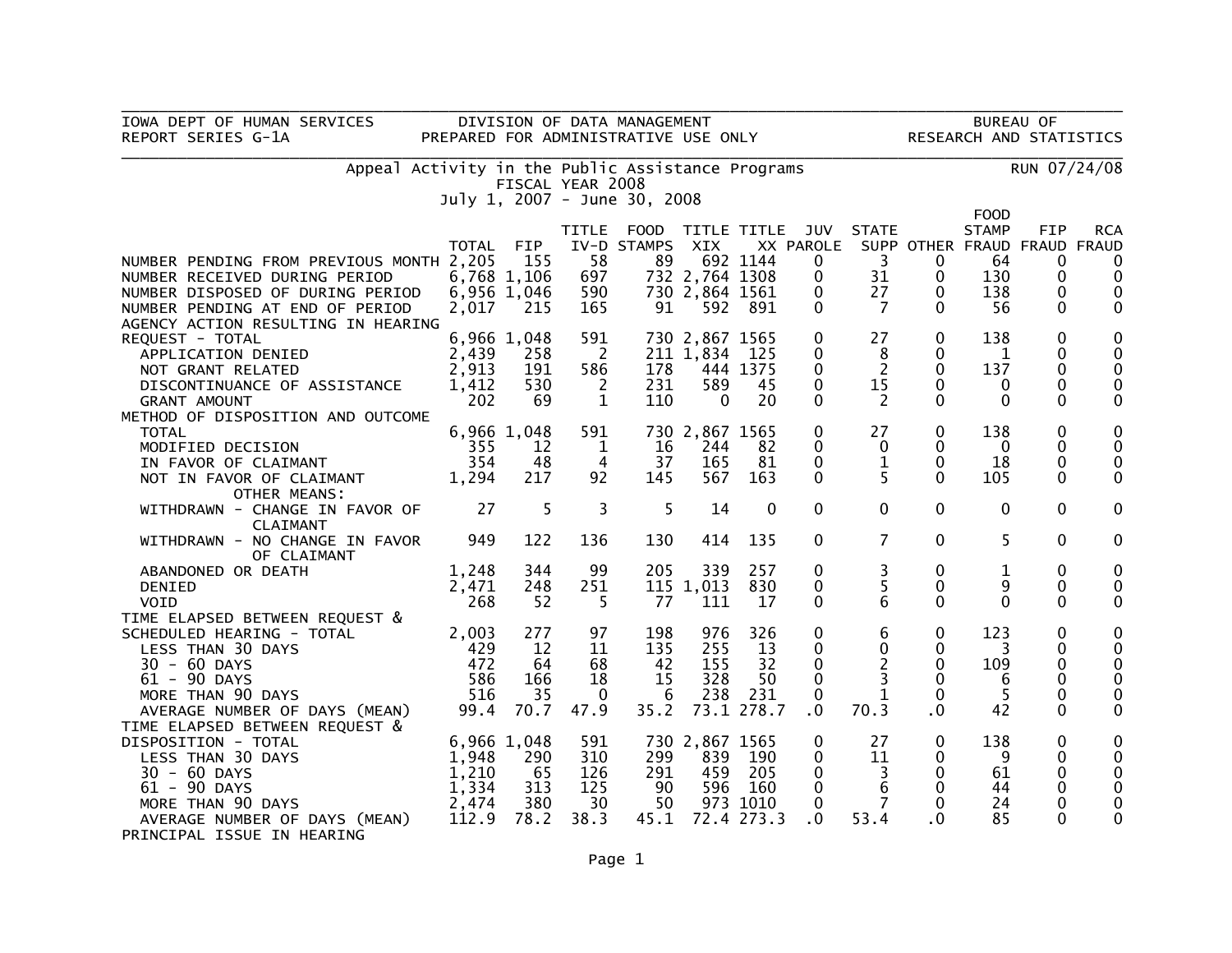| IOWA DEPT OF HUMAN SERVICES                                                                                                                                                             |                        |             |                          |                              |                  |             |                                        |                      |                              |                      |                   |                            |
|-----------------------------------------------------------------------------------------------------------------------------------------------------------------------------------------|------------------------|-------------|--------------------------|------------------------------|------------------|-------------|----------------------------------------|----------------------|------------------------------|----------------------|-------------------|----------------------------|
| DIVISION OF DATA MANAGEMENT BUREAU OF BUREAU OF PREPARED FOR ADMINISTRATIVE USE ONLY RESEARCH AND STATISTICS<br>REPORT SERIES G-1A<br>Appeal Activity in the Public Assistance Programs |                        |             |                          |                              |                  |             |                                        |                      |                              |                      |                   |                            |
|                                                                                                                                                                                         |                        |             |                          |                              |                  |             |                                        | RUN 07/24/08         |                              |                      |                   |                            |
|                                                                                                                                                                                         |                        |             | FISCAL YEAR 2008         |                              |                  |             |                                        |                      |                              |                      |                   |                            |
|                                                                                                                                                                                         |                        |             |                          | July 1, 2007 - June 30, 2008 |                  |             |                                        |                      |                              | <b>FOOD</b>          |                   |                            |
|                                                                                                                                                                                         |                        |             | TITLE                    | FOOD TITLE TITLE JUV STATE   |                  |             |                                        |                      |                              | <b>STAMP</b>         | FIP               | <b>RCA</b>                 |
|                                                                                                                                                                                         | TOTAL                  | <b>FIP</b>  |                          | IV-D STAMPS                  | XIX              |             | XX PAROLE SUPP OTHER FRAUD FRAUD FRAUD |                      |                              |                      |                   |                            |
| NUMBER PENDING FROM PREVIOUS MONTH 2,205                                                                                                                                                |                        | 155         | 58                       | 89                           |                  | 692 1144    | 0                                      | $\overline{3}$       | $\mathbf{0}$                 | 64                   | 0                 | $\mathbf{0}$               |
| NUMBER RECEIVED DURING PERIOD                                                                                                                                                           |                        | 6,768 1,106 | 697                      |                              | 732 2,764 1308   |             | $\mathbf 0$                            | 31                   | $\mathbf{0}$                 | 130                  | 0                 | $\mathbf 0$                |
| NUMBER DISPOSED OF DURING PERIOD                                                                                                                                                        | 6,956 1,046            |             | 590                      |                              | 730 2,864 1561   |             | $\mathbf 0$                            | 27                   | 0                            | 138                  | 0                 | $\mathbf 0$                |
| NUMBER PENDING AT END OF PERIOD                                                                                                                                                         | 2,017                  | 215         | 165                      | 91                           | 592              | - 891       | $\mathbf{0}$                           | 7                    | $\Omega$                     | 56                   | 0                 | 0                          |
| AGENCY ACTION RESULTING IN HEARING                                                                                                                                                      |                        |             |                          |                              |                  |             |                                        |                      |                              |                      |                   |                            |
| REQUEST - TOTAL                                                                                                                                                                         |                        | 6,966 1,048 | 591                      |                              | 730 2,867 1565   |             | $\mathbf{0}$                           | 27                   | $\mathbf{0}$                 | 138                  | 0                 | 0                          |
| APPLICATION DENIED                                                                                                                                                                      | 2,439                  | 258         | $\overline{\phantom{0}}$ |                              | 211 1,834        | 125         | 0                                      | 8                    | $\mathbf{0}$                 | $\mathbf{1}$         | 0                 | 0                          |
| NOT GRANT RELATED                                                                                                                                                                       | 2,913                  | 191<br>530  | 586                      | 178<br>231                   | 589              | 444 1375    | $\mathbf{0}$                           | $\overline{2}$<br>15 | $\mathbf{0}$<br>$\mathbf{0}$ | 137                  | 0                 | $\mathbf 0$<br>$\mathbf 0$ |
| DISCONTINUANCE OF ASSISTANCE<br><b>GRANT AMOUNT</b>                                                                                                                                     | 1,412<br>202           | 69          | $\overline{2}$<br>1      | 110                          | $\Omega$         | 45<br>20    | 0<br>$\mathbf{0}$                      | 2                    | $\Omega$                     | $\bf{0}$<br>$\Omega$ | 0<br>$\mathbf{0}$ | 0                          |
| METHOD OF DISPOSITION AND OUTCOME                                                                                                                                                       |                        |             |                          |                              |                  |             |                                        |                      |                              |                      |                   |                            |
| <b>TOTAL</b>                                                                                                                                                                            |                        | 6,966 1,048 | 591                      |                              | 730 2,867 1565   |             | 0                                      | 27                   | $\mathbf{0}$                 | 138                  | 0                 | 0                          |
| MODIFIED DECISION                                                                                                                                                                       | 355                    | 12          | $\overline{\phantom{a}}$ | 16                           | 244              | 82          | $\mathbf 0$                            | $\mathbf 0$          | 0                            | $\mathbf 0$          | 0                 | $\pmb{0}$                  |
| IN FAVOR OF CLAIMANT                                                                                                                                                                    | 354                    | 48          | 4                        | 37                           | 165              | 81          | 0                                      | $\mathbf 1$          | 0                            | 18                   | 0                 | $\mathbf 0$                |
| NOT IN FAVOR OF CLAIMANT                                                                                                                                                                | 1,294                  | 217         | 92                       | 145                          | 567              | 163         | $\mathbf{0}$                           | 5.                   | $\Omega$                     | 105                  | 0                 | $\mathbf 0$                |
| <b>OTHER MEANS:</b>                                                                                                                                                                     |                        |             |                          |                              |                  |             |                                        |                      |                              |                      |                   |                            |
| WITHDRAWN - CHANGE IN FAVOR OF                                                                                                                                                          | $\overline{\text{27}}$ | 5           | 3                        | 5                            | 14               | $\mathbf 0$ | $\mathbf 0$                            | $\Omega$             | $\overline{0}$               | $\Omega$             | $\mathbf{0}$      | 0                          |
| CLAIMANT                                                                                                                                                                                |                        |             |                          |                              |                  |             |                                        |                      |                              |                      |                   |                            |
| WITHDRAWN - NO CHANGE IN FAVOR                                                                                                                                                          | 949                    | 122         | 136                      | 130                          | 414              | 135         | 0                                      | $\overline{7}$       | $\mathbf 0$                  | 5                    | 0                 | 0                          |
| OF CLAIMANT                                                                                                                                                                             |                        |             |                          |                              |                  |             |                                        |                      |                              |                      |                   |                            |
| ABANDONED OR DEATH                                                                                                                                                                      | 1,248                  | 344         | 99                       | 205                          | 339              | 257<br>830  | $\mathbf 0$                            | 3<br>5               | $\mathbf 0$<br>$\mathbf{0}$  | $\mathbf{1}$<br>9    | 0                 | 0                          |
| <b>DENIED</b><br><b>VOID</b>                                                                                                                                                            | 2,471<br>268           | 248<br>52   | 251<br>5.                | 77                           | 115 1,013<br>111 | 17          | 0<br>$\mathbf{0}$                      | 6                    | $\Omega$                     | $\Omega$             | 0<br>$\mathbf{0}$ | 0<br>0                     |
| TIME ELAPSED BETWEEN REQUEST &                                                                                                                                                          |                        |             |                          |                              |                  |             |                                        |                      |                              |                      |                   |                            |
| SCHEDULED HEARING - TOTAL                                                                                                                                                               | 2,003                  | 277         | 97                       | 198                          | 976              | 326         | 0                                      | 6                    | 0                            | 123                  | 0                 | 0                          |
| LESS THAN 30 DAYS                                                                                                                                                                       | 429                    | 12          | 11                       | 135                          | 255              | 13          | 0                                      | $\mathbf 0$          | $\mathbf 0$                  | 3                    | 0                 | 0                          |
| 30 - 60 DAYS                                                                                                                                                                            | 472                    | 64          | 68                       | 42                           | 155              | 32          | 0                                      | 2                    | $\mathbf{0}$                 | 109                  | 0                 | $\mathbf 0$                |
| 61 - 90 DAYS                                                                                                                                                                            | 586                    | 166         | 18                       | 15                           | 328              | 50          | $\mathbf{0}$                           | 3                    | $\mathbf{0}$                 | 6                    | 0                 | $\mathbf 0$                |
| MORE THAN 90 DAYS                                                                                                                                                                       | 516                    | 35          | $\mathbf 0$              | 6                            | 238              | 231         | 0                                      | $\mathbf{1}$         | $\mathbf 0$                  | 5                    | 0                 | $\pmb{0}$                  |
| AVERAGE NUMBER OF DAYS (MEAN)                                                                                                                                                           | 99.4                   | 70.7        | 47.9                     | 35.2                         |                  | 73.1 278.7  | 0.                                     | 70.3                 | $\cdot$ 0                    | 42                   | $\mathbf{0}$      | $\mathbf 0$                |
| TIME ELAPSED BETWEEN REQUEST &                                                                                                                                                          |                        |             |                          |                              |                  |             |                                        |                      |                              |                      |                   |                            |
| DISPOSITION - TOTAL                                                                                                                                                                     | 6,966 1,048            |             | 591                      |                              | 730 2,867 1565   |             | 0                                      | 27                   | 0                            | 138                  | 0                 | 0                          |
| LESS THAN 30 DAYS                                                                                                                                                                       | 1,948                  | 290<br>65   | 310                      | 299                          | 839<br>459       | 190         | 0                                      | 11<br>$\overline{3}$ | 0<br>$\mathbf{0}$            | 9                    | 0                 | 0                          |
| $30 - 60$ DAYS<br>61 - 90 DAYS                                                                                                                                                          | 1,210<br>1,334         | 313         | 126<br>125               | 291<br>90                    | 596              | 205<br>160  | 0<br>$\mathbf{0}$                      | 6                    | $\Omega$                     | 61<br>44             | 0<br>0            | $\mathbf 0$<br>0           |
| MORE THAN 90 DAYS                                                                                                                                                                       | 2,474                  | 380         | 30                       | 50                           |                  | 973 1010    | 0                                      | $\overline{7}$       | $\mathbf{0}$                 | 24                   | 0                 | $\pmb{0}$                  |
| AVERAGE NUMBER OF DAYS (MEAN)                                                                                                                                                           | 112.9                  | 78.2        | 38.3                     | 45.1                         |                  | 72.4 273.3  | $\cdot$ 0                              | 53.4                 | . 0                          | 85                   | $\mathbf{0}$      | $\mathbf{0}$               |
| PRINCIPAL ISSUE IN HEARING                                                                                                                                                              |                        |             |                          |                              |                  |             |                                        |                      |                              |                      |                   |                            |